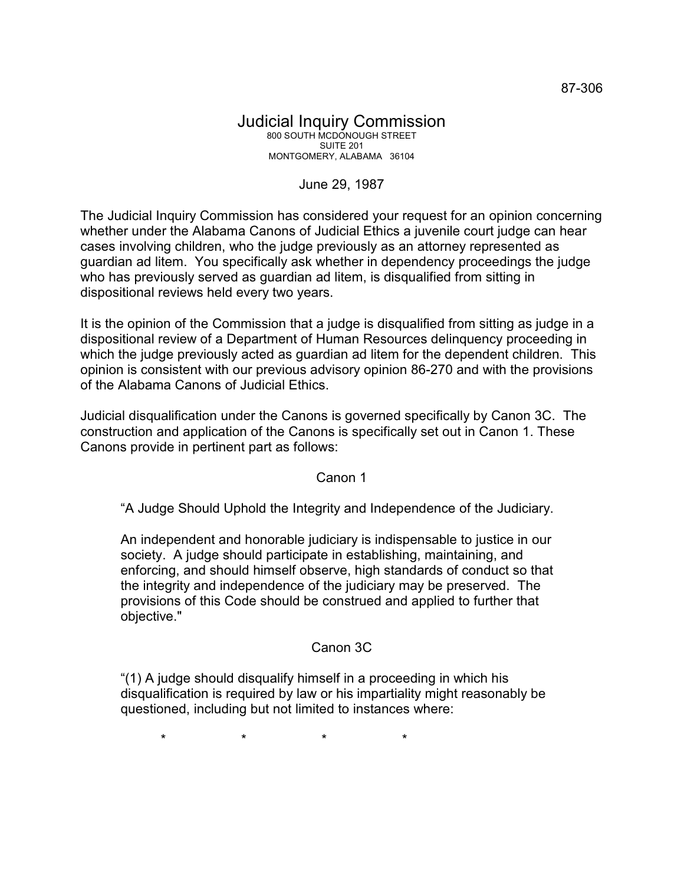## Judicial Inquiry Commission 800 SOUTH MCDONOUGH STREET SUITE 201 MONTGOMERY, ALABAMA 36104

## June 29, 1987

The Judicial Inquiry Commission has considered your request for an opinion concerning whether under the Alabama Canons of Judicial Ethics a juvenile court judge can hear cases involving children, who the judge previously as an attorney represented as guardian ad litem. You specifically ask whether in dependency proceedings the judge who has previously served as guardian ad litem, is disqualified from sitting in dispositional reviews held every two years.

It is the opinion of the Commission that a judge is disqualified from sitting as judge in a dispositional review of a Department of Human Resources delinquency proceeding in which the judge previously acted as guardian ad litem for the dependent children. This opinion is consistent with our previous advisory opinion 86-270 and with the provisions of the Alabama Canons of Judicial Ethics.

Judicial disqualification under the Canons is governed specifically by Canon 3C. The construction and application of the Canons is specifically set out in Canon 1. These Canons provide in pertinent part as follows:

## Canon 1

"A Judge Should Uphold the Integrity and Independence of the Judiciary.

An independent and honorable judiciary is indispensable to justice in our society. A judge should participate in establishing, maintaining, and enforcing, and should himself observe, high standards of conduct so that the integrity and independence of the judiciary may be preserved. The provisions of this Code should be construed and applied to further that objective."

## Canon 3C

"(1) A judge should disqualify himself in a proceeding in which his disqualification is required by law or his impartiality might reasonably be questioned, including but not limited to instances where:

\* \* \* \*